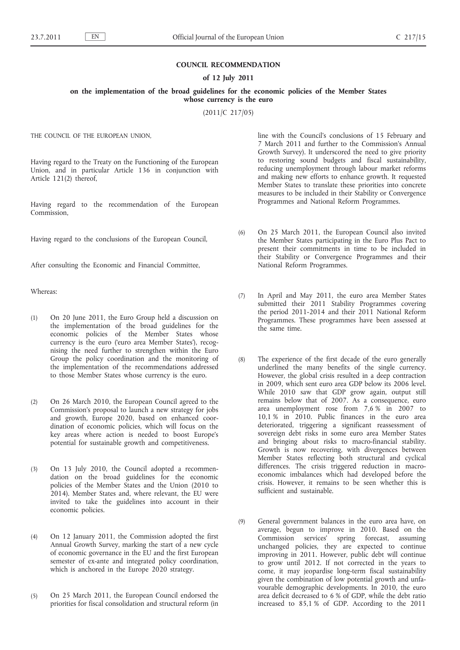## **COUNCIL RECOMMENDATION**

## **of 12 July 2011**

**on the implementation of the broad guidelines for the economic policies of the Member States whose currency is the euro**

(2011/C 217/05)

THE COUNCIL OF THE EUROPEAN UNION,

Having regard to the Treaty on the Functioning of the European Union, and in particular Article 136 in conjunction with Article 121(2) thereof,

Having regard to the recommendation of the European Commission,

Having regard to the conclusions of the European Council,

After consulting the Economic and Financial Committee,

Whereas:

- (1) On 20 June 2011, the Euro Group held a discussion on the implementation of the broad guidelines for the economic policies of the Member States whose currency is the euro ('euro area Member States'), recognising the need further to strengthen within the Euro Group the policy coordination and the monitoring of the implementation of the recommendations addressed to those Member States whose currency is the euro.
- (2) On 26 March 2010, the European Council agreed to the Commission's proposal to launch a new strategy for jobs and growth, Europe 2020, based on enhanced coordination of economic policies, which will focus on the key areas where action is needed to boost Europe's potential for sustainable growth and competitiveness.
- (3) On 13 July 2010, the Council adopted a recommendation on the broad guidelines for the economic policies of the Member States and the Union (2010 to 2014). Member States and, where relevant, the EU were invited to take the guidelines into account in their economic policies.
- (4) On 12 January 2011, the Commission adopted the first Annual Growth Survey, marking the start of a new cycle of economic governance in the EU and the first European semester of ex-ante and integrated policy coordination, which is anchored in the Europe 2020 strategy.
- (5) On 25 March 2011, the European Council endorsed the priorities for fiscal consolidation and structural reform (in

line with the Council's conclusions of 15 February and 7 March 2011 and further to the Commission's Annual Growth Survey). It underscored the need to give priority to restoring sound budgets and fiscal sustainability, reducing unemployment through labour market reforms and making new efforts to enhance growth. It requested Member States to translate these priorities into concrete measures to be included in their Stability or Convergence Programmes and National Reform Programmes.

- (6) On 25 March 2011, the European Council also invited the Member States participating in the Euro Plus Pact to present their commitments in time to be included in their Stability or Convergence Programmes and their National Reform Programmes.
- (7) In April and May 2011, the euro area Member States submitted their 2011 Stability Programmes covering the period 2011-2014 and their 2011 National Reform Programmes. These programmes have been assessed at the same time.
- (8) The experience of the first decade of the euro generally underlined the many benefits of the single currency. However, the global crisis resulted in a deep contraction in 2009, which sent euro area GDP below its 2006 level. While 2010 saw that GDP grow again, output still remains below that of 2007. As a consequence, euro area unemployment rose from 7,6 % in 2007 to 10,1 % in 2010. Public finances in the euro area deteriorated, triggering a significant reassessment of sovereign debt risks in some euro area Member States and bringing about risks to macro-financial stability. Growth is now recovering, with divergences between Member States reflecting both structural and cyclical differences. The crisis triggered reduction in macroeconomic imbalances which had developed before the crisis. However, it remains to be seen whether this is sufficient and sustainable.
- (9) General government balances in the euro area have, on average, begun to improve in 2010. Based on the Commission services' spring forecast, assuming unchanged policies, they are expected to continue improving in 2011. However, public debt will continue to grow until 2012. If not corrected in the years to come, it may jeopardise long-term fiscal sustainability given the combination of low potential growth and unfavourable demographic developments. In 2010, the euro area deficit decreased to 6 % of GDP, while the debt ratio increased to 85,1 % of GDP. According to the 2011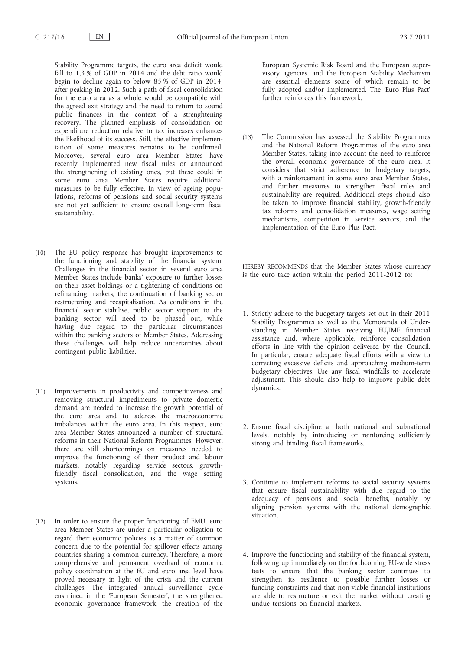Stability Programme targets, the euro area deficit would fall to 1,3 % of GDP in 2014 and the debt ratio would begin to decline again to below 85 % of GDP in 2014, after peaking in 2012. Such a path of fiscal consolidation for the euro area as a whole would be compatible with the agreed exit strategy and the need to return to sound public finances in the context of a strenghtening recovery. The planned emphasis of consolidation on expenditure reduction relative to tax increases enhances the likelihood of its success. Still, the effective implementation of some measures remains to be confirmed. Moreover, several euro area Member States have recently implemented new fiscal rules or announced the strengthening of existing ones, but these could in some euro area Member States require additional measures to be fully effective. In view of ageing populations, reforms of pensions and social security systems are not yet sufficient to ensure overall long-term fiscal sustainability.

- (10) The EU policy response has brought improvements to the functioning and stability of the financial system. Challenges in the financial sector in several euro area Member States include banks' exposure to further losses on their asset holdings or a tightening of conditions on refinancing markets, the continuation of banking sector restructuring and recapitalisation. As conditions in the financial sector stabilise, public sector support to the banking sector will need to be phased out, while having due regard to the particular circumstances within the banking sectors of Member States. Addressing these challenges will help reduce uncertainties about contingent public liabilities.
- (11) Improvements in productivity and competitiveness and removing structural impediments to private domestic demand are needed to increase the growth potential of the euro area and to address the macroeconomic imbalances within the euro area. In this respect, euro area Member States announced a number of structural reforms in their National Reform Programmes. However, there are still shortcomings on measures needed to improve the functioning of their product and labour markets, notably regarding service sectors, growthfriendly fiscal consolidation, and the wage setting systems.
- (12) In order to ensure the proper functioning of EMU, euro area Member States are under a particular obligation to regard their economic policies as a matter of common concern due to the potential for spillover effects among countries sharing a common currency. Therefore, a more comprehensive and permanent overhaul of economic policy coordination at the EU and euro area level have proved necessary in light of the crisis and the current challenges. The integrated annual surveillance cycle enshrined in the 'European Semester', the strengthened economic governance framework, the creation of the

European Systemic Risk Board and the European supervisory agencies, and the European Stability Mechanism are essential elements some of which remain to be fully adopted and/or implemented. The 'Euro Plus Pact' further reinforces this framework.

(13) The Commission has assessed the Stability Programmes and the National Reform Programmes of the euro area Member States, taking into account the need to reinforce the overall economic governance of the euro area. It considers that strict adherence to budgetary targets, with a reinforcement in some euro area Member States, and further measures to strengthen fiscal rules and sustainability are required. Additional steps should also be taken to improve financial stability, growth-friendly tax reforms and consolidation measures, wage setting mechanisms, competition in service sectors, and the implementation of the Euro Plus Pact,

HEREBY RECOMMENDS that the Member States whose currency is the euro take action within the period 2011-2012 to:

- 1. Strictly adhere to the budgetary targets set out in their 2011 Stability Programmes as well as the Memoranda of Understanding in Member States receiving EU/IMF financial assistance and, where applicable, reinforce consolidation efforts in line with the opinion delivered by the Council. In particular, ensure adequate fiscal efforts with a view to correcting excessive deficits and approaching medium-term budgetary objectives. Use any fiscal windfalls to accelerate adjustment. This should also help to improve public debt dynamics.
- 2. Ensure fiscal discipline at both national and subnational levels, notably by introducing or reinforcing sufficiently strong and binding fiscal frameworks.
- 3. Continue to implement reforms to social security systems that ensure fiscal sustainability with due regard to the adequacy of pensions and social benefits, notably by aligning pension systems with the national demographic situation.
- 4. Improve the functioning and stability of the financial system, following up immediately on the forthcoming EU-wide stress tests to ensure that the banking sector continues to strengthen its resilience to possible further losses or funding constraints and that non-viable financial institutions are able to restructure or exit the market without creating undue tensions on financial markets.